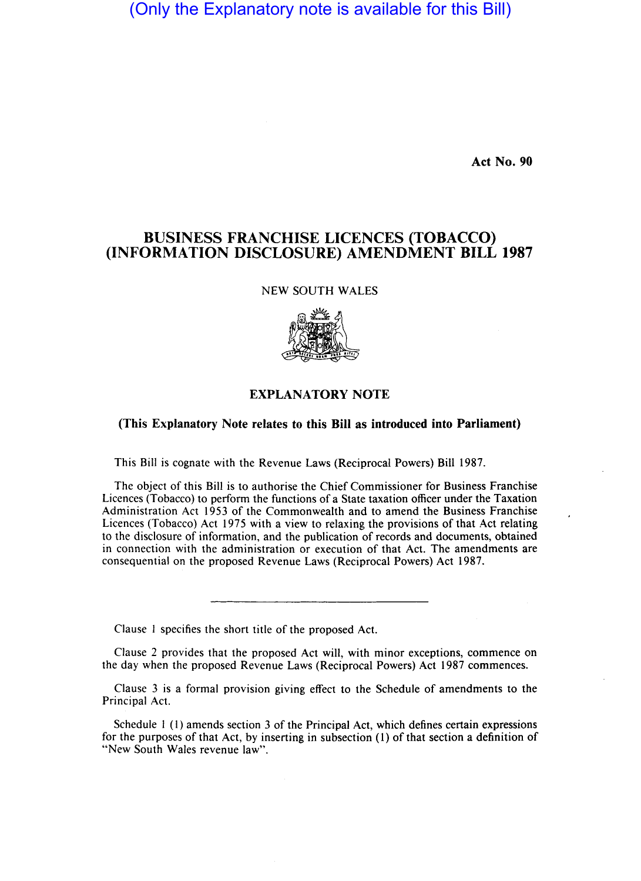(Only the Explanatory note is available for this Bill)

Act No. 90

## BUSINESS FRANCHISE LICENCES (TOBACCO) (INFORMATION DISCLOSURE) AMENDMENT BILL 1987

NEW SOUTH WALES



## EXPLANATORY NOTE

## (This Explanatory Note relates to this Bill as introduced into Parliament)

This Bill is cognate with the Revenue Laws (Reciprocal Powers) Bill 1987.

The object of this Bill is to authorise the Chief Commissioner for Business Franchise Licences (Tobacco) to perform the functions of a State taxation officer under the Taxation Administration Act 1953 of the Commonwealth and to amend the Business Franchise Licences (Tobacco) Act 1975 with a view to relaxing the provisions of that Act relating to the disclosure of information, and the publication of records and documents, obtained in connection with the administration or execution of that Act. The amendments are consequential on the proposed Revenue Laws (Reciprocal Powers) Act 1987.

Clause I specifies the short title of the proposed Act.

Clause 2 provides that the proposed Act will, with minor exceptions, commence on the day when the proposed Revenue Laws (Reciprocal Powers) Act 1987 commences.

Clause 3 is a formal provision giving effect to the Schedule of amendments to the Principal Act.

Schedule 1 (1) amends section 3 of the Principal Act, which defines certain expressions for the purposes of that Act, by inserting in subsection (I) of that section a definition of "New South Wales revenue law".